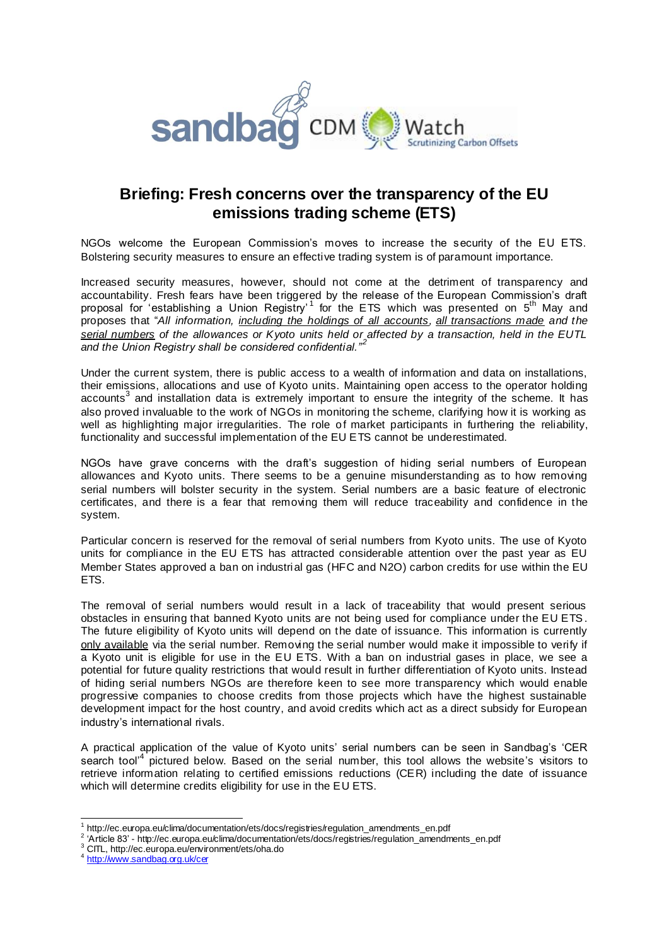

## **Briefing: Fresh concerns over the transparency of the EU emissions trading scheme (ETS)**

NGOs welcome the European Commission's moves to increase the security of the EU ETS. Bolstering security measures to ensure an effective trading system is of paramount importance.

Increased security measures, however, should not come at the detriment of transparency and accountability. Fresh fears have been triggered by the release of the European Commission's draft proposal for 'establishing a Union Registry' for the ETS which was presented on 5<sup>th</sup> May and proposes that "*All information, including the holdings of all accounts, all transactions made and the serial numbers of the allowances or Kyoto units held or affected by a transaction, held in the EUTL*  and the Union Registry shall be considered confidential.<sup>"2</sup>

Under the current system, there is public access to a wealth of information and data on installations, their emissions, allocations and use of Kyoto units. Maintaining open access to the operator holding accounts<sup>3</sup> and installation data is extremely important to ensure the integrity of the scheme. It has also proved invaluable to the work of NGOs in monitoring the scheme, clarifying how it is working as well as highlighting major irregularities. The role of market participants in furthering the reliability, functionality and successful implementation of the EU ETS cannot be underestimated.

NGOs have grave concerns with the draft's suggestion of hiding serial numbers of European allowances and Kyoto units. There seems to be a genuine misunderstanding as to how removing serial numbers will bolster security in the system. Serial numbers are a basic feature of electronic certificates, and there is a fear that removing them will reduce traceability and confidence in the system.

Particular concern is reserved for the removal of serial numbers from Kyoto units. The use of Kyoto units for compliance in the EU ETS has attracted considerable attention over the past year as EU Member States approved a ban on industrial gas (HFC and N2O) carbon credits for use within the EU ETS.

The removal of serial numbers would result in a lack of traceability that would present serious obstacles in ensuring that banned Kyoto units are not being used for compliance under the EU ETS. The future eligibility of Kyoto units will depend on the date of issuance. This information is currently only available via the serial number. Removing the serial number would make it impossible to verify if a Kyoto unit is eligible for use in the EU ETS. With a ban on industrial gases in place, we see a potential for future quality restrictions that would result in further differentiation of Kyoto units. Instead of hiding serial numbers NGOs are therefore keen to see more transparency which would enable progressive companies to choose credits from those projects which have the highest sustainable development impact for the host country, and avoid credits which act as a direct subsidy for European industry's international rivals.

A practical application of the value of Kyoto units' serial numbers can be seen in Sandbag's 'CER search tool<sup>4</sup> pictured below. Based on the serial number, this tool allows the website's visitors to retrieve information relating to certified emissions reductions (CER) including the date of issuance which will determine credits eligibility for use in the EU ETS.

 1 http://ec.europa.eu/clima/documentation/ets/docs/registries/regulation\_amendments\_en.pdf

<sup>&</sup>lt;sup>2</sup> 'Article 83' - http://ec.europa.eu/clima/documentation/ets/docs/registries/regulation\_amendments\_en.pdf

<sup>3</sup> CITL, http://ec.europa.eu/environment/ets/oha.do

<sup>&</sup>lt;sup>4</sup> <http://www.sandbag.org.uk/cer>